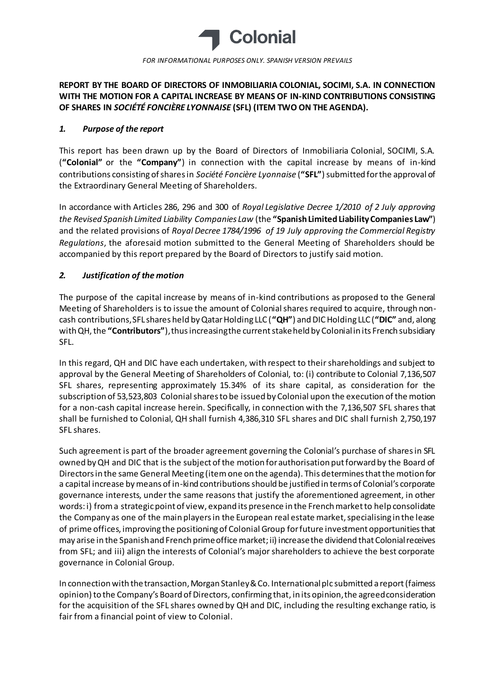

# **REPORT BY THE BOARD OF DIRECTORS OF INMOBILIARIA COLONIAL, SOCIMI, S.A. IN CONNECTION WITH THE MOTION FOR A CAPITAL INCREASE BY MEANS OF IN-KIND CONTRIBUTIONS CONSISTING OF SHARES IN** *SOCIÉTÉ FONCIÈRE LYONNAISE* **(SFL) (ITEM TWO ON THE AGENDA).**

### *1. Purpose of the report*

This report has been drawn up by the Board of Directors of Inmobiliaria Colonial, SOCIMI, S.A. (**"Colonial"** or the **"Company"**) in connection with the capital increase by means of in-kind contributions consisting of shares in *Société Foncière Lyonnaise* (**"SFL"**) submitted for the approval of the Extraordinary General Meeting of Shareholders.

In accordance with Articles 286, 296 and 300 of *Royal Legislative Decree 1/2010 of 2 July approving the Revised Spanish Limited Liability Companies Law* (the **"Spanish Limited Liability Companies Law"**) and the related provisions of *Royal Decree 1784/1996 of 19 July approving the Commercial Registry Regulations*, the aforesaid motion submitted to the General Meeting of Shareholders should be accompanied by this report prepared by the Board of Directors to justify said motion.

## *2. Justification of the motion*

The purpose of the capital increase by means of in-kind contributions as proposed to the General Meeting of Shareholders is to issue the amount of Colonial shares required to acquire, through noncash contributions, SFL shares held by Qatar Holding LLC (**"QH"**) and DICHolding LLC (**"DIC"** and, along with QH, the **"Contributors"**), thus increasing the current stake held by Colonial in its French subsidiary SFL.

In this regard, QH and DIC have each undertaken, with respect to their shareholdings and subject to approval by the General Meeting of Shareholders of Colonial, to: (i) contribute to Colonial 7,136,507 SFL shares, representing approximately 15.34% of its share capital, as consideration for the subscription of 53,523,803 Colonial shares to be issued by Colonial upon the execution of the motion for a non-cash capital increase herein. Specifically, in connection with the 7,136,507 SFL shares that shall be furnished to Colonial, QH shall furnish 4,386,310 SFL shares and DIC shall furnish 2,750,197 SFL shares.

Such agreement is part of the broader agreement governing the Colonial's purchase of shares in SFL owned by QH and DIC that is the subject of the motion for authorisation put forward by the Board of Directors in the same General Meeting (itemone on the agenda). This determines that the motion for a capital increase by means of in-kind contributions should be justified in terms of Colonial's corporate governance interests, under the same reasons that justify the aforementioned agreement, in other words: i) from a strategic point of view, expand its presence in the French market to help consolidate the Company as one of the main players in the European real estate market, specialising in the lease of prime offices, improving the positioning of Colonial Group for future investment opportunities that may arise in the Spanish and French prime office market; ii) increase the dividend that Colonial receives from SFL; and iii) align the interests of Colonial's major shareholders to achieve the best corporate governance in Colonial Group.

In connection with the transaction, Morgan Stanley & Co. International plc submitted a report (fairness opinion) to the Company's Board of Directors, confirming that, in its opinion, the agreed consideration for the acquisition of the SFL shares owned by QH and DIC, including the resulting exchange ratio, is fair from a financial point of view to Colonial.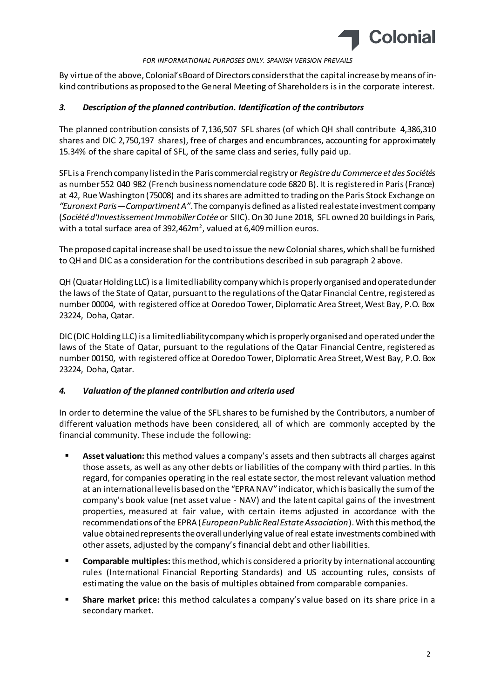

By virtue of the above, Colonial's Board of Directors considers that the capital increase by means of inkind contributions as proposed to the General Meeting of Shareholders is in the corporate interest.

### *3. Description of the planned contribution. Identification of the contributors*

The planned contribution consists of 7,136,507 SFL shares (of which QH shall contribute 4,386,310 shares and DIC 2,750,197 shares), free of charges and encumbrances, accounting for approximately 15.34% of the share capital of SFL, of the same class and series, fully paid up.

SFL is a French company listed in the Paris commercial registry or *Registre du Commerce et des Sociétés* as number 552 040 982 (French business nomenclature code 6820 B). It is registered in Paris (France) at 42, Rue Washington (75008) and its shares are admitted to trading on the Paris Stock Exchange on *"Euronext Paris—Compartiment A"*. The company is defined as a listed real estate investment company (*Société d'Investissement Immobilier Cotée* or SIIC). On 30 June 2018, SFL owned 20 buildings in Paris, with a total surface area of 392,462 $m^2$ , valued at 6,409 million euros.

The proposed capital increase shall be used to issue the new Colonial shares, which shall be furnished to QH and DIC as a consideration for the contributions described in sub paragraph 2 above.

QH (Quatar Holding LLC) is a limited liability company which is properly organised and operated under the laws of the State of Qatar, pursuant to the regulations of the Qatar Financial Centre, registered as number 00004, with registered office at Ooredoo Tower, Diplomatic Area Street, West Bay, P.O. Box 23224, Doha, Qatar.

DIC (DICHolding LLC) is a limited liability company which is properly organised and operated under the laws of the State of Qatar, pursuant to the regulations of the Qatar Financial Centre, registered as number 00150, with registered office at Ooredoo Tower, Diplomatic Area Street, West Bay, P.O. Box 23224, Doha, Qatar.

## *4. Valuation of the planned contribution and criteria used*

In order to determine the value of the SFL shares to be furnished by the Contributors, a number of different valuation methods have been considered, all of which are commonly accepted by the financial community. These include the following:

- **Asset valuation:** this method values a company's assets and then subtracts all charges against those assets, as well as any other debts or liabilities of the company with third parties. In this regard, for companies operating in the real estate sector, the most relevant valuation method at an international level is based on the "EPRA NAV" indicator, which is basically the sum of the company's book value (net asset value - NAV) and the latent capital gains of the investment properties, measured at fair value, with certain items adjusted in accordance with the recommendations of the EPRA (*European Public Real Estate Association*). With this method, the value obtained represents the overall underlying value of real estate investments combined with other assets, adjusted by the company's financial debt and other liabilities.
- **Comparable multiples:**this method, which is considered a priority by international accounting rules (International Financial Reporting Standards) and US accounting rules, consists of estimating the value on the basis of multiples obtained from comparable companies.
- **Share market price:** this method calculates a company's value based on its share price in a secondary market.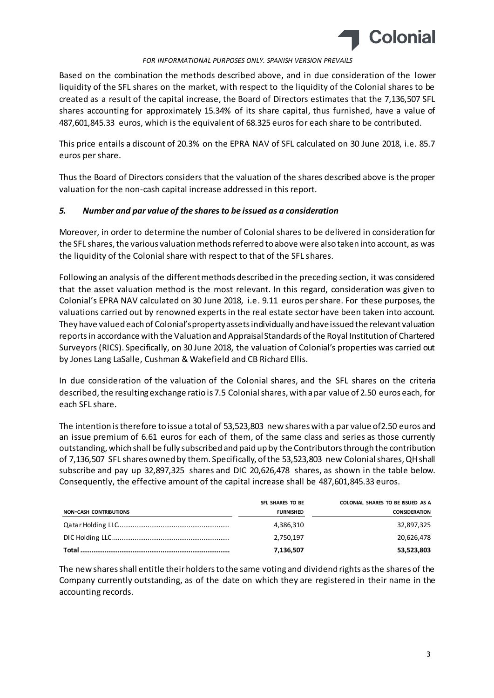

Based on the combination the methods described above, and in due consideration of the lower liquidity of the SFL shares on the market, with respect to the liquidity of the Colonial shares to be created as a result of the capital increase, the Board of Directors estimates that the 7,136,507 SFL shares accounting for approximately 15.34% of its share capital, thus furnished, have a value of 487,601,845.33 euros, which is the equivalent of 68.325 euros for each share to be contributed.

This price entails a discount of 20.3% on the EPRA NAV of SFL calculated on 30 June 2018, i.e. 85.7 euros per share.

Thus the Board of Directors considers that the valuation of the shares described above is the proper valuation for the non-cash capital increase addressed in this report.

### *5. Number and par value of the shares to be issued as a consideration*

Moreover, in order to determine the number of Colonial shares to be delivered in consideration for the SFL shares, the various valuation methods referred to above were also taken into account, as was the liquidity of the Colonial share with respect to that of the SFL shares.

Following an analysis of the different methods described in the preceding section, it was considered that the asset valuation method is the most relevant. In this regard, consideration was given to Colonial's EPRA NAV calculated on 30 June 2018, i.e. 9.11 euros per share. For these purposes, the valuations carried out by renowned experts in the real estate sector have been taken into account. They have valued each of Colonial's property assets individually and have issued the relevant valuation reports in accordance with the Valuation and Appraisal Standards of the Royal Institution of Chartered Surveyors (RICS). Specifically, on 30 June 2018, the valuation of Colonial's properties was carried out by Jones Lang LaSalle, Cushman & Wakefield and CB Richard Ellis.

In due consideration of the valuation of the Colonial shares, and the SFL shares on the criteria described, the resulting exchange ratio is 7.5 Colonial shares, with a par value of 2.50 euros each, for each SFL share.

The intention is therefore to issue a total of 53,523,803 new shares with a par value of2.50 euros and an issue premium of 6.61 euros for each of them, of the same class and series as those currently outstanding, which shall be fully subscribed and paid up by the Contributors through the contribution of 7,136,507 SFL shares owned by them. Specifically, of the 53,523,803 new Colonial shares, QH shall subscribe and pay up 32,897,325 shares and DIC 20,626,478 shares, as shown in the table below. Consequently, the effective amount of the capital increase shall be 487,601,845.33 euros.

|                               | SFL SHARES TO BE | COLONIAL SHARES TO BE ISSUED AS A |
|-------------------------------|------------------|-----------------------------------|
| <b>NON-CASH CONTRIBUTIONS</b> | <b>FURNISHED</b> | <b>CONSIDERATION</b>              |
|                               | 4,386,310        | 32,897,325                        |
|                               | 2,750,197        | 20.626.478                        |
|                               | 7,136,507        | 53,523,803                        |

The new shares shall entitle their holders to the same voting and dividend rights as the shares of the Company currently outstanding, as of the date on which they are registered in their name in the accounting records.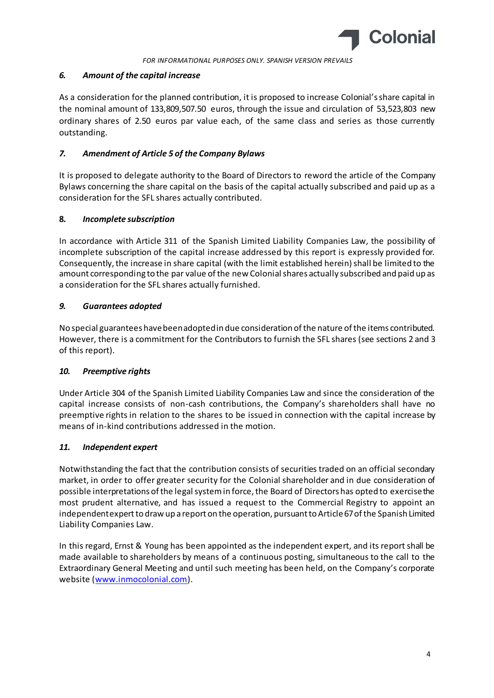

### *6. Amount of the capital increase*

As a consideration for the planned contribution, it is proposed to increase Colonial's share capital in the nominal amount of 133,809,507.50 euros, through the issue and circulation of 53,523,803 new ordinary shares of 2.50 euros par value each, of the same class and series as those currently outstanding.

### *7. Amendment of Article 5 of the Company Bylaws*

It is proposed to delegate authority to the Board of Directors to reword the article of the Company Bylaws concerning the share capital on the basis of the capital actually subscribed and paid up as a consideration for the SFL shares actually contributed.

### **8.** *Incomplete subscription*

In accordance with Article 311 of the Spanish Limited Liability Companies Law, the possibility of incomplete subscription of the capital increase addressed by this report is expressly provided for. Consequently, the increase in share capital (with the limit established herein) shall be limited to the amount corresponding to the par value of the new Colonial shares actually subscribed and paid up as a consideration for the SFL shares actually furnished.

### *9. Guarantees adopted*

No special guarantees have been adopted in due consideration of the nature of the items contributed. However, there is a commitment for the Contributors to furnish the SFL shares (see sections 2 and 3 of this report).

## *10. Preemptive rights*

Under Article 304 of the Spanish Limited Liability Companies Law and since the consideration of the capital increase consists of non-cash contributions, the Company's shareholders shall have no preemptive rights in relation to the shares to be issued in connection with the capital increase by means of in-kind contributions addressed in the motion.

### *11. Independent expert*

Notwithstanding the fact that the contribution consists of securities traded on an official secondary market, in order to offer greater security for the Colonial shareholder and in due consideration of possible interpretations of the legal system in force, the Board of Directors has opted to exercise the most prudent alternative, and has issued a request to the Commercial Registry to appoint an independent expert to draw up a report on the operation, pursuant to Article 67 of the Spanish Limited Liability Companies Law.

In this regard, Ernst & Young has been appointed as the independent expert, and its report shall be made available to shareholders by means of a continuous posting, simultaneous to the call to the Extraordinary General Meeting and until such meeting has been held, on the Company's corporate website [\(www.inmocolonial.com](http://www.inmocolonial.com/)).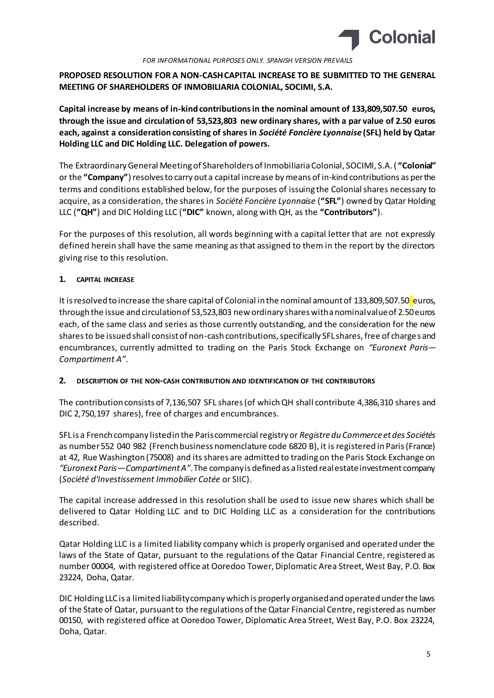

**PROPOSED RESOLUTION FOR A NON-CASH CAPITAL INCREASE TO BE SUBMITTED TO THE GENERAL MEETING OF SHAREHOLDERS OF INMOBILIARIA COLONIAL, SOCIMI, S.A.**

**Capital increase by means of in-kind contributions in the nominal amount of 133,809,507.50 euros, through the issue and circulation of 53,523,803 new ordinary shares, with a par value of 2.50 euros each, against a consideration consisting of shares in** *Société Foncière Lyonnaise* **(SFL) held by Qatar Holding LLC and DIC Holding LLC. Delegation of powers.**

The Extraordinary General Meeting of Shareholders of Inmobiliaria Colonial, SOCIMI, S.A. ( **"Colonial"** or the **"Company"**) resolves to carry out a capital increase by means of in-kind contributions as per the terms and conditions established below, for the purposes of issuing the Colonial shares necessary to acquire, as a consideration, the shares in *Société Foncière Lyonnaise* (**"SFL"**) owned by Qatar Holding LLC (**"QH"**) and DIC Holding LLC (**"DIC"** known, along with QH, as the **"Contributors"**).

For the purposes of this resolution, all words beginning with a capital letter that are not expressly defined herein shall have the same meaning as that assigned to them in the report by the directors giving rise to this resolution.

### **1. CAPITAL INCREASE**

It is resolved to increase the share capital of Colonial in the nominal amount of 133,809,507.50 euros, through the issue and circulation of 53,523,803 new ordinary shares with a nominal value of 2.50 euros each, of the same class and series as those currently outstanding, and the consideration for the new shares to be issued shall consist of non-cash contributions, specifically SFL shares, free of charges and encumbrances, currently admitted to trading on the Paris Stock Exchange on *"Euronext Paris— Compartiment A"*.

### **2. DESCRIPTION OF THE NON-CASH CONTRIBUTION AND IDENTIFICATION OF THE CONTRIBUTORS**

The contribution consists of 7,136,507 SFL shares (of which QH shall contribute 4,386,310 shares and DIC 2,750,197 shares), free of charges and encumbrances.

SFL is a French company listed in the Paris commercial registry or *Registre du Commerce et des Sociétés* as number 552 040 982 (French business nomenclature code 6820 B), it is registered in Paris (France) at 42, Rue Washington (75008) and its shares are admitted to trading on the Paris Stock Exchange on *"Euronext Paris—Compartiment A"*. The company is defined as a listed real estate investment company (*Société d'Investissement Immobilier Cotée* or SIIC).

The capital increase addressed in this resolution shall be used to issue new shares which shall be delivered to Qatar Holding LLC and to DIC Holding LLC as a consideration for the contributions described.

Qatar Holding LLC is a limited liability company which is properly organised and operated under the laws of the State of Qatar, pursuant to the regulations of the Qatar Financial Centre, registered as number 00004, with registered office at Ooredoo Tower, Diplomatic Area Street, West Bay, P.O. Box 23224, Doha, Qatar.

DIC Holding LLC is a limited liability company which is properly organised and operated under the laws of the State of Qatar, pursuant to the regulations of the Qatar Financial Centre, registered as number 00150, with registered office at Ooredoo Tower, Diplomatic Area Street, West Bay, P.O. Box 23224, Doha, Qatar.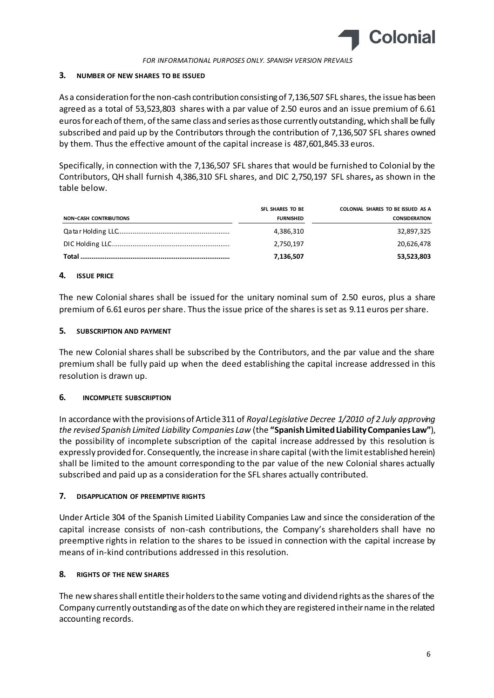

#### **3. NUMBER OF NEW SHARES TO BE ISSUED**

As a consideration for the non-cash contribution consisting of 7,136,507 SFL shares, the issue has been agreed as a total of 53,523,803 shares with a par value of 2.50 euros and an issue premium of 6.61 euros for each of them, of the same class and series as those currently outstanding, which shall be fully subscribed and paid up by the Contributors through the contribution of 7,136,507 SFL shares owned by them. Thus the effective amount of the capital increase is 487,601,845.33 euros.

Specifically, in connection with the 7,136,507 SFL shares that would be furnished to Colonial by the Contributors, QH shall furnish 4,386,310 SFL shares, and DIC 2,750,197 SFL shares**,** as shown in the table below.

|                               | SFL SHARES TO BE | COLONIAL SHARES TO BE ISSUED AS A |
|-------------------------------|------------------|-----------------------------------|
| <b>NON-CASH CONTRIBUTIONS</b> | <b>FURNISHED</b> | <b>CONSIDERATION</b>              |
|                               | 4,386,310        | 32,897,325                        |
|                               | 2,750,197        | 20,626,478                        |
|                               | 7,136,507        | 53,523,803                        |

### **4. ISSUE PRICE**

The new Colonial shares shall be issued for the unitary nominal sum of 2.50 euros, plus a share premium of 6.61 euros per share. Thus the issue price of the shares is set as 9.11 euros per share.

### **5. SUBSCRIPTION AND PAYMENT**

The new Colonial shares shall be subscribed by the Contributors, and the par value and the share premium shall be fully paid up when the deed establishing the capital increase addressed in this resolution is drawn up.

### **6. INCOMPLETE SUBSCRIPTION**

In accordance with the provisions of Article 311 of *Royal Legislative Decree 1/2010 of 2 July approving the revised Spanish Limited Liability Companies Law* (the **"Spanish Limited Liability Companies Law"**), the possibility of incomplete subscription of the capital increase addressed by this resolution is expressly provided for. Consequently, the increase in share capital (with the limit established herein) shall be limited to the amount corresponding to the par value of the new Colonial shares actually subscribed and paid up as a consideration for the SFL shares actually contributed.

### **7. DISAPPLICATION OF PREEMPTIVE RIGHTS**

Under Article 304 of the Spanish Limited Liability Companies Law and since the consideration of the capital increase consists of non-cash contributions, the Company's shareholders shall have no preemptive rights in relation to the shares to be issued in connection with the capital increase by means of in-kind contributions addressed in this resolution.

### **8. RIGHTS OF THE NEW SHARES**

The new shares shall entitle their holders to the same voting and dividend rights as the shares of the Company currently outstanding as of the date on which they are registered in their name in the related accounting records.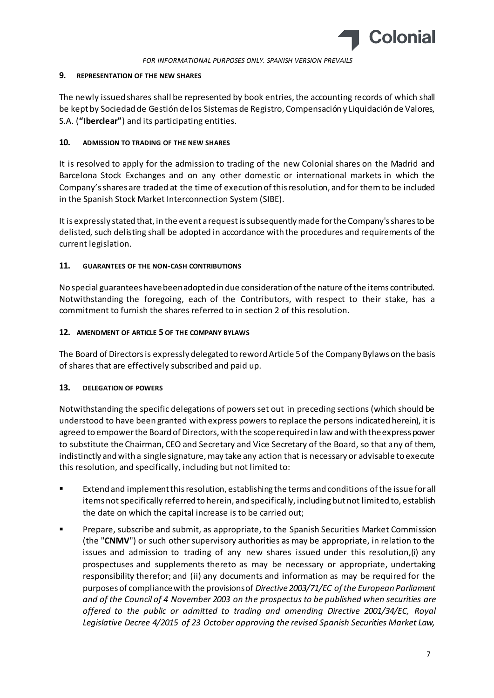

### **9. REPRESENTATION OF THE NEW SHARES**

The newly issued shares shall be represented by book entries, the accounting records of which shall be kept by Sociedad de Gestión de los Sistemas de Registro, Compensación y Liquidación de Valores, S.A. (**"Iberclear"**) and its participating entities.

### **10. ADMISSION TO TRADING OF THE NEW SHARES**

It is resolved to apply for the admission to trading of the new Colonial shares on the Madrid and Barcelona Stock Exchanges and on any other domestic or international markets in which the Company's shares are traded at the time of execution of this resolution, and for them to be included in the Spanish Stock Market Interconnection System (SIBE).

It is expressly stated that, in the event a request is subsequently made for the Company's shares to be delisted, such delisting shall be adopted in accordance with the procedures and requirements of the current legislation.

### **11. GUARANTEES OF THE NON-CASH CONTRIBUTIONS**

No special guarantees have been adopted in due consideration of the nature of the items contributed. Notwithstanding the foregoing, each of the Contributors, with respect to their stake, has a commitment to furnish the shares referred to in section 2 of this resolution.

### **12. AMENDMENT OF ARTICLE 5 OF THE COMPANY BYLAWS**

The Board of Directors is expressly delegated to reword Article 5 of the Company Bylaws on the basis of shares that are effectively subscribed and paid up.

## **13. DELEGATION OF POWERS**

Notwithstanding the specific delegations of powers set out in preceding sections (which should be understood to have been granted with express powers to replace the persons indicated herein), it is agreed to empower the Board of Directors, with the scope required in law and with the express power to substitute the Chairman, CEO and Secretary and Vice Secretary of the Board, so that any of them, indistinctly and with a single signature, may take any action that is necessary or advisable to execute this resolution, and specifically, including but not limited to:

- Extend and implement this resolution, establishing the terms and conditions of the issue for all items not specifically referred to herein, and specifically, including but not limited to, establish the date on which the capital increase is to be carried out;
- Prepare, subscribe and submit, as appropriate, to the Spanish Securities Market Commission (the "**CNMV**") or such other supervisory authorities as may be appropriate, in relation to the issues and admission to trading of any new shares issued under this resolution,(i) any prospectuses and supplements thereto as may be necessary or appropriate, undertaking responsibility therefor; and (ii) any documents and information as may be required for the purposes of compliance with the provisions of *Directive 2003/71/EC of the European Parliament and of the Council of 4 November 2003 on the prospectus to be published when securities are offered to the public or admitted to trading and amending Directive 2001/34/EC, Royal Legislative Decree 4/2015 of 23 October approving the revised Spanish Securities Market Law,*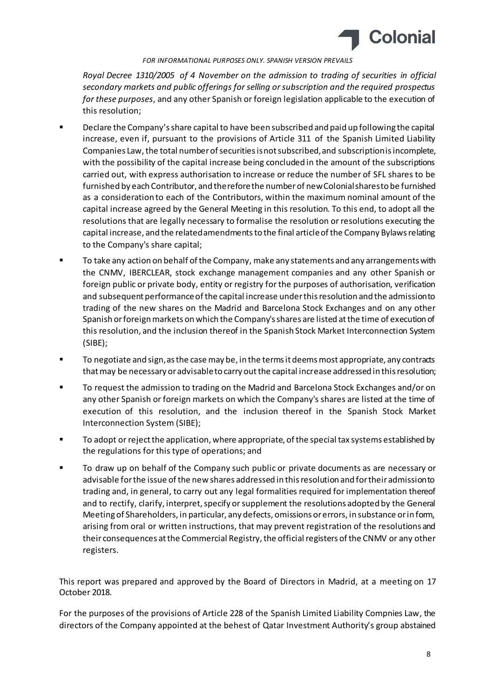

*Royal Decree 1310/2005 of 4 November on the admission to trading of securities in official secondary markets and public offerings for selling or subscription and the required prospectus for these purposes*, and any other Spanish or foreign legislation applicable to the execution of this resolution;

- Declare the Company's share capital to have been subscribed and paid up following the capital increase, even if, pursuant to the provisions of Article 311 of the Spanish Limited Liability Companies Law, the total number of securities is not subscribed, and subscription is incomplete, with the possibility of the capital increase being concluded in the amount of the subscriptions carried out, with express authorisation to increase or reduce the number of SFL shares to be furnished by each Contributor, and therefore the number of new Colonial shares to be furnished as a consideration to each of the Contributors, within the maximum nominal amount of the capital increase agreed by the General Meeting in this resolution. To this end, to adopt all the resolutions that are legally necessary to formalise the resolution or resolutions executing the capital increase, and the related amendments to the final article of the Company Bylaws relating to the Company's share capital;
- To take any action on behalf of the Company, make any statements and any arrangements with the CNMV, IBERCLEAR, stock exchange management companies and any other Spanish or foreign public or private body, entity or registry for the purposes of authorisation, verification and subsequent performance of the capital increase under this resolution and the admission to trading of the new shares on the Madrid and Barcelona Stock Exchanges and on any other Spanish or foreign markets on which the Company's shares are listed at the time of execution of this resolution, and the inclusion thereof in the Spanish Stock Market Interconnection System (SIBE);
- **The To negotiate and sign, as the case may be, in the terms it deems most appropriate, any contracts** that may be necessary or advisable to carry out the capital increase addressed in this resolution;
- **THE FIGULAR TO THE 19 TO THE MADE THE MADE THE STANDER THE STANDER COROLLY** To request the admission to trading on the Madrid and State Standard on  $\mathbf{r}$ any other Spanish or foreign markets on which the Company's shares are listed at the time of execution of this resolution, and the inclusion thereof in the Spanish Stock Market Interconnection System (SIBE);
- To adopt or reject the application, where appropriate, of the special tax systems established by the regulations for this type of operations; and
- To draw up on behalf of the Company such public or private documents as are necessary or advisable for the issue of the new shares addressed in this resolution and for their admission to trading and, in general, to carry out any legal formalities required for implementation thereof and to rectify, clarify, interpret, specify or supplement the resolutions adopted by the General Meeting of Shareholders, in particular, any defects, omissions or errors, in substance or in form, arising from oral or written instructions, that may prevent registration of the resolutions and their consequences at the Commercial Registry, the official registers of the CNMV or any other registers.

This report was prepared and approved by the Board of Directors in Madrid, at a meeting on 17 October 2018.

For the purposes of the provisions of Article 228 of the Spanish Limited Liability Compnies Law, the directors of the Company appointed at the behest of Qatar Investment Authority's group abstained